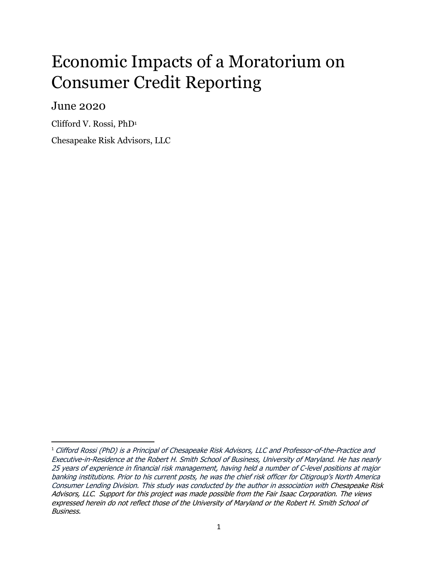# Economic Impacts of a Moratorium on Consumer Credit Reporting

June 2020

 $\overline{\phantom{a}}$ 

Clifford V. Rossi, PhD<sup>1</sup>

Chesapeake Risk Advisors, LLC

<sup>1</sup> Clifford Rossi (PhD) is a Principal of Chesapeake Risk Advisors, LLC and Professor‐of‐the‐Practice and Executive-in-Residence at the Robert H. Smith School of Business, University of Maryland. He has nearly 25 years of experience in financial risk management, having held a number of C‐level positions at major banking institutions. Prior to his current posts, he was the chief risk officer for Citigroup's North America Consumer Lending Division. This study was conducted by the author in association with Chesapeake Risk Advisors, LLC*.* Support for this project was made possible from the Fair Isaac Corporation. The views expressed herein do not reflect those of the University of Maryland or the Robert H. Smith School of Business.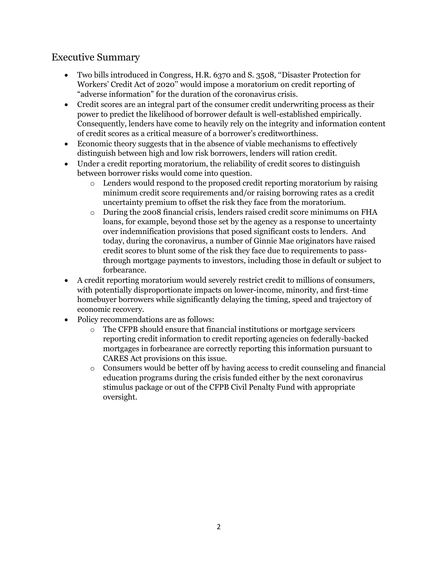## Executive Summary

- Two bills introduced in Congress, H.R. 6370 and S. 3508, ''Disaster Protection for Workers' Credit Act of 2020'' would impose a moratorium on credit reporting of "adverse information" for the duration of the coronavirus crisis.
- Credit scores are an integral part of the consumer credit underwriting process as their power to predict the likelihood of borrower default is well-established empirically. Consequently, lenders have come to heavily rely on the integrity and information content of credit scores as a critical measure of a borrower's creditworthiness.
- Economic theory suggests that in the absence of viable mechanisms to effectively distinguish between high and low risk borrowers, lenders will ration credit.
- Under a credit reporting moratorium, the reliability of credit scores to distinguish between borrower risks would come into question.
	- $\circ$  Lenders would respond to the proposed credit reporting moratorium by raising minimum credit score requirements and/or raising borrowing rates as a credit uncertainty premium to offset the risk they face from the moratorium.
	- o During the 2008 financial crisis, lenders raised credit score minimums on FHA loans, for example, beyond those set by the agency as a response to uncertainty over indemnification provisions that posed significant costs to lenders. And today, during the coronavirus, a number of Ginnie Mae originators have raised credit scores to blunt some of the risk they face due to requirements to passthrough mortgage payments to investors, including those in default or subject to forbearance.
- A credit reporting moratorium would severely restrict credit to millions of consumers, with potentially disproportionate impacts on lower-income, minority, and first-time homebuyer borrowers while significantly delaying the timing, speed and trajectory of economic recovery.
- Policy recommendations are as follows:
	- o The CFPB should ensure that financial institutions or mortgage servicers reporting credit information to credit reporting agencies on federally-backed mortgages in forbearance are correctly reporting this information pursuant to CARES Act provisions on this issue.
	- $\circ$  Consumers would be better off by having access to credit counseling and financial education programs during the crisis funded either by the next coronavirus stimulus package or out of the CFPB Civil Penalty Fund with appropriate oversight.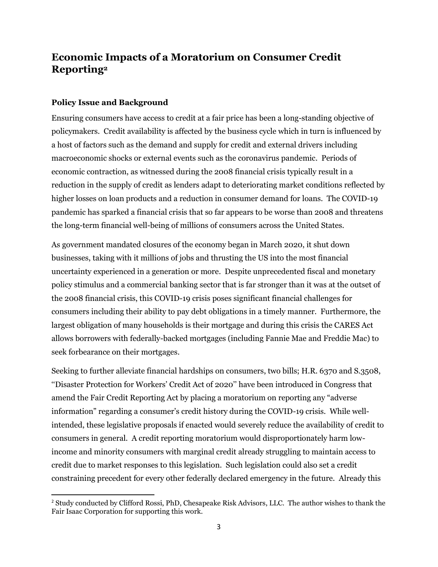# **Economic Impacts of a Moratorium on Consumer Credit Reporting<sup>2</sup>**

## **Policy Issue and Background**

 $\overline{\phantom{a}}$ 

Ensuring consumers have access to credit at a fair price has been a long-standing objective of policymakers. Credit availability is affected by the business cycle which in turn is influenced by a host of factors such as the demand and supply for credit and external drivers including macroeconomic shocks or external events such as the coronavirus pandemic. Periods of economic contraction, as witnessed during the 2008 financial crisis typically result in a reduction in the supply of credit as lenders adapt to deteriorating market conditions reflected by higher losses on loan products and a reduction in consumer demand for loans. The COVID-19 pandemic has sparked a financial crisis that so far appears to be worse than 2008 and threatens the long-term financial well-being of millions of consumers across the United States.

As government mandated closures of the economy began in March 2020, it shut down businesses, taking with it millions of jobs and thrusting the US into the most financial uncertainty experienced in a generation or more. Despite unprecedented fiscal and monetary policy stimulus and a commercial banking sector that is far stronger than it was at the outset of the 2008 financial crisis, this COVID-19 crisis poses significant financial challenges for consumers including their ability to pay debt obligations in a timely manner. Furthermore, the largest obligation of many households is their mortgage and during this crisis the CARES Act allows borrowers with federally-backed mortgages (including Fannie Mae and Freddie Mac) to seek forbearance on their mortgages.

Seeking to further alleviate financial hardships on consumers, two bills; H.R. 6370 and S.3508, ''Disaster Protection for Workers' Credit Act of 2020'' have been introduced in Congress that amend the Fair Credit Reporting Act by placing a moratorium on reporting any "adverse information" regarding a consumer's credit history during the COVID-19 crisis. While wellintended, these legislative proposals if enacted would severely reduce the availability of credit to consumers in general. A credit reporting moratorium would disproportionately harm lowincome and minority consumers with marginal credit already struggling to maintain access to credit due to market responses to this legislation. Such legislation could also set a credit constraining precedent for every other federally declared emergency in the future. Already this

<sup>2</sup> Study conducted by Clifford Rossi, PhD, Chesapeake Risk Advisors, LLC. The author wishes to thank the Fair Isaac Corporation for supporting this work.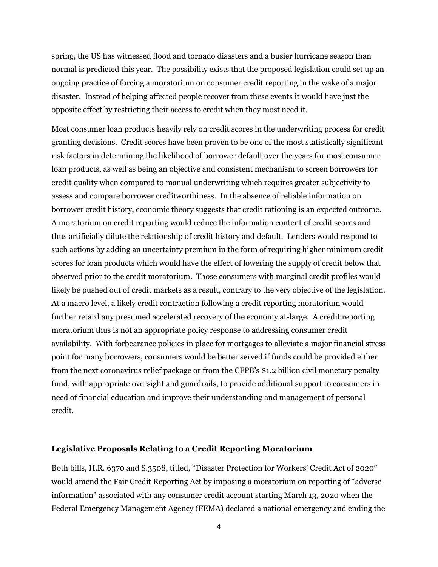spring, the US has witnessed flood and tornado disasters and a busier hurricane season than normal is predicted this year. The possibility exists that the proposed legislation could set up an ongoing practice of forcing a moratorium on consumer credit reporting in the wake of a major disaster. Instead of helping affected people recover from these events it would have just the opposite effect by restricting their access to credit when they most need it.

Most consumer loan products heavily rely on credit scores in the underwriting process for credit granting decisions. Credit scores have been proven to be one of the most statistically significant risk factors in determining the likelihood of borrower default over the years for most consumer loan products, as well as being an objective and consistent mechanism to screen borrowers for credit quality when compared to manual underwriting which requires greater subjectivity to assess and compare borrower creditworthiness. In the absence of reliable information on borrower credit history, economic theory suggests that credit rationing is an expected outcome. A moratorium on credit reporting would reduce the information content of credit scores and thus artificially dilute the relationship of credit history and default. Lenders would respond to such actions by adding an uncertainty premium in the form of requiring higher minimum credit scores for loan products which would have the effect of lowering the supply of credit below that observed prior to the credit moratorium. Those consumers with marginal credit profiles would likely be pushed out of credit markets as a result, contrary to the very objective of the legislation. At a macro level, a likely credit contraction following a credit reporting moratorium would further retard any presumed accelerated recovery of the economy at-large. A credit reporting moratorium thus is not an appropriate policy response to addressing consumer credit availability. With forbearance policies in place for mortgages to alleviate a major financial stress point for many borrowers, consumers would be better served if funds could be provided either from the next coronavirus relief package or from the CFPB's \$1.2 billion civil monetary penalty fund, with appropriate oversight and guardrails, to provide additional support to consumers in need of financial education and improve their understanding and management of personal credit.

## **Legislative Proposals Relating to a Credit Reporting Moratorium**

Both bills, H.R. 6370 and S.3508, titled, ''Disaster Protection for Workers' Credit Act of 2020'' would amend the Fair Credit Reporting Act by imposing a moratorium on reporting of "adverse information" associated with any consumer credit account starting March 13, 2020 when the Federal Emergency Management Agency (FEMA) declared a national emergency and ending the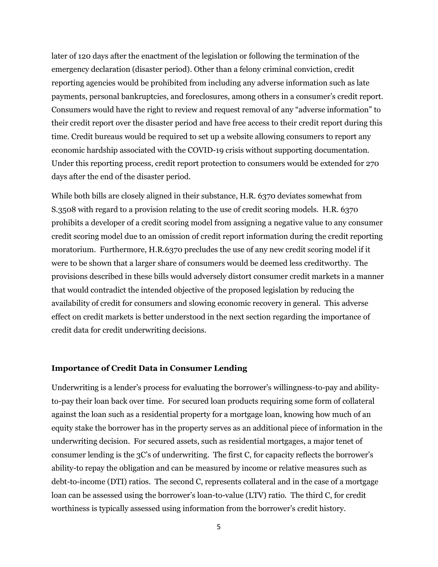later of 120 days after the enactment of the legislation or following the termination of the emergency declaration (disaster period). Other than a felony criminal conviction, credit reporting agencies would be prohibited from including any adverse information such as late payments, personal bankruptcies, and foreclosures, among others in a consumer's credit report. Consumers would have the right to review and request removal of any "adverse information" to their credit report over the disaster period and have free access to their credit report during this time. Credit bureaus would be required to set up a website allowing consumers to report any economic hardship associated with the COVID-19 crisis without supporting documentation. Under this reporting process, credit report protection to consumers would be extended for 270 days after the end of the disaster period.

While both bills are closely aligned in their substance, H.R. 6370 deviates somewhat from S.3508 with regard to a provision relating to the use of credit scoring models. H.R. 6370 prohibits a developer of a credit scoring model from assigning a negative value to any consumer credit scoring model due to an omission of credit report information during the credit reporting moratorium. Furthermore, H.R.6370 precludes the use of any new credit scoring model if it were to be shown that a larger share of consumers would be deemed less creditworthy. The provisions described in these bills would adversely distort consumer credit markets in a manner that would contradict the intended objective of the proposed legislation by reducing the availability of credit for consumers and slowing economic recovery in general. This adverse effect on credit markets is better understood in the next section regarding the importance of credit data for credit underwriting decisions.

#### **Importance of Credit Data in Consumer Lending**

Underwriting is a lender's process for evaluating the borrower's willingness-to-pay and abilityto-pay their loan back over time. For secured loan products requiring some form of collateral against the loan such as a residential property for a mortgage loan, knowing how much of an equity stake the borrower has in the property serves as an additional piece of information in the underwriting decision. For secured assets, such as residential mortgages, a major tenet of consumer lending is the 3C's of underwriting. The first C, for capacity reflects the borrower's ability-to repay the obligation and can be measured by income or relative measures such as debt-to-income (DTI) ratios. The second C, represents collateral and in the case of a mortgage loan can be assessed using the borrower's loan-to-value (LTV) ratio. The third C, for credit worthiness is typically assessed using information from the borrower's credit history.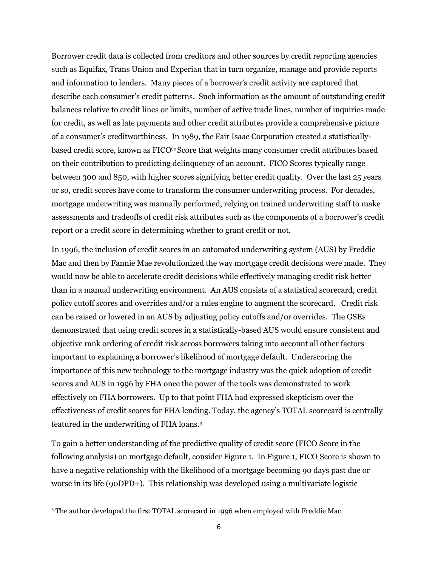Borrower credit data is collected from creditors and other sources by credit reporting agencies such as Equifax, Trans Union and Experian that in turn organize, manage and provide reports and information to lenders. Many pieces of a borrower's credit activity are captured that describe each consumer's credit patterns. Such information as the amount of outstanding credit balances relative to credit lines or limits, number of active trade lines, number of inquiries made for credit, as well as late payments and other credit attributes provide a comprehensive picture of a consumer's creditworthiness. In 1989, the Fair Isaac Corporation created a statisticallybased credit score, known as FICO® Score that weights many consumer credit attributes based on their contribution to predicting delinquency of an account. FICO Scores typically range between 300 and 850, with higher scores signifying better credit quality. Over the last 25 years or so, credit scores have come to transform the consumer underwriting process. For decades, mortgage underwriting was manually performed, relying on trained underwriting staff to make assessments and tradeoffs of credit risk attributes such as the components of a borrower's credit report or a credit score in determining whether to grant credit or not.

In 1996, the inclusion of credit scores in an automated underwriting system (AUS) by Freddie Mac and then by Fannie Mae revolutionized the way mortgage credit decisions were made. They would now be able to accelerate credit decisions while effectively managing credit risk better than in a manual underwriting environment. An AUS consists of a statistical scorecard, credit policy cutoff scores and overrides and/or a rules engine to augment the scorecard. Credit risk can be raised or lowered in an AUS by adjusting policy cutoffs and/or overrides. The GSEs demonstrated that using credit scores in a statistically-based AUS would ensure consistent and objective rank ordering of credit risk across borrowers taking into account all other factors important to explaining a borrower's likelihood of mortgage default. Underscoring the importance of this new technology to the mortgage industry was the quick adoption of credit scores and AUS in 1996 by FHA once the power of the tools was demonstrated to work effectively on FHA borrowers. Up to that point FHA had expressed skepticism over the effectiveness of credit scores for FHA lending. Today, the agency's TOTAL scorecard is centrally featured in the underwriting of FHA loans.<sup>3</sup>

To gain a better understanding of the predictive quality of credit score (FICO Score in the following analysis) on mortgage default, consider Figure 1. In Figure 1, FICO Score is shown to have a negative relationship with the likelihood of a mortgage becoming 90 days past due or worse in its life (90DPD+). This relationship was developed using a multivariate logistic

 $\overline{\phantom{a}}$ 

<sup>&</sup>lt;sup>3</sup> The author developed the first TOTAL scorecard in 1996 when employed with Freddie Mac.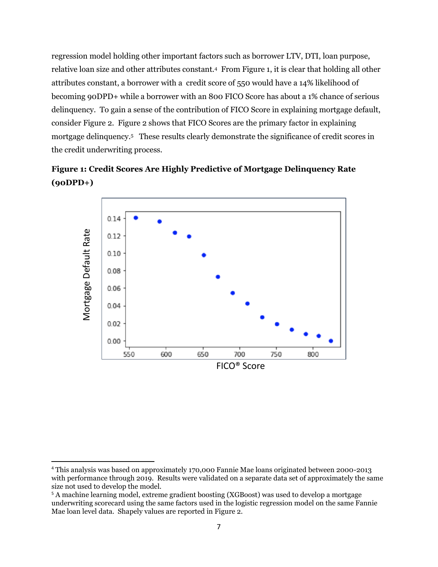regression model holding other important factors such as borrower LTV, DTI, loan purpose, relative loan size and other attributes constant.<sup>4</sup> From Figure 1, it is clear that holding all other attributes constant, a borrower with a credit score of 550 would have a 14% likelihood of becoming 90DPD+ while a borrower with an 800 FICO Score has about a 1% chance of serious delinquency. To gain a sense of the contribution of FICO Score in explaining mortgage default, consider Figure 2. Figure 2 shows that FICO Scores are the primary factor in explaining mortgage delinquency.<sup>5</sup> These results clearly demonstrate the significance of credit scores in the credit underwriting process.





 $\overline{a}$ 

<sup>4</sup> This analysis was based on approximately 170,000 Fannie Mae loans originated between 2000-2013 with performance through 2019. Results were validated on a separate data set of approximately the same size not used to develop the model.

<sup>5</sup> A machine learning model, extreme gradient boosting (XGBoost) was used to develop a mortgage underwriting scorecard using the same factors used in the logistic regression model on the same Fannie Mae loan level data. Shapely values are reported in Figure 2.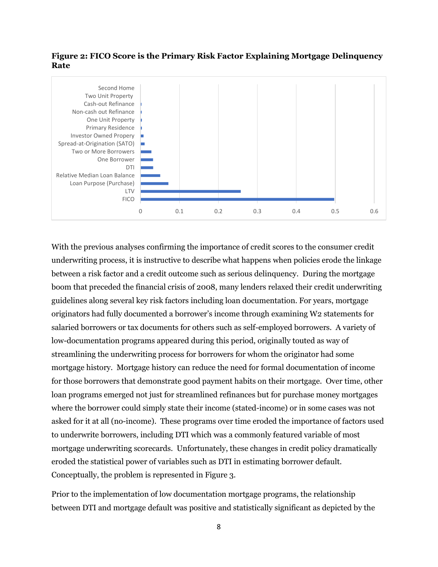## **Figure 2: FICO Score is the Primary Risk Factor Explaining Mortgage Delinquency Rate**



With the previous analyses confirming the importance of credit scores to the consumer credit underwriting process, it is instructive to describe what happens when policies erode the linkage between a risk factor and a credit outcome such as serious delinquency. During the mortgage boom that preceded the financial crisis of 2008, many lenders relaxed their credit underwriting guidelines along several key risk factors including loan documentation. For years, mortgage originators had fully documented a borrower's income through examining W2 statements for salaried borrowers or tax documents for others such as self-employed borrowers. A variety of low-documentation programs appeared during this period, originally touted as way of streamlining the underwriting process for borrowers for whom the originator had some mortgage history. Mortgage history can reduce the need for formal documentation of income for those borrowers that demonstrate good payment habits on their mortgage. Over time, other loan programs emerged not just for streamlined refinances but for purchase money mortgages where the borrower could simply state their income (stated-income) or in some cases was not asked for it at all (no-income). These programs over time eroded the importance of factors used to underwrite borrowers, including DTI which was a commonly featured variable of most mortgage underwriting scorecards. Unfortunately, these changes in credit policy dramatically eroded the statistical power of variables such as DTI in estimating borrower default. Conceptually, the problem is represented in Figure 3.

Prior to the implementation of low documentation mortgage programs, the relationship between DTI and mortgage default was positive and statistically significant as depicted by the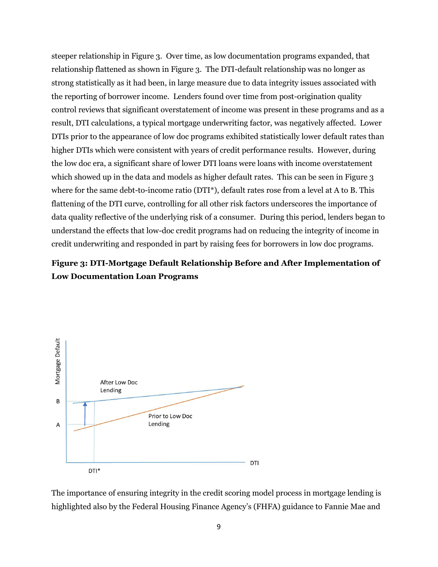steeper relationship in Figure 3. Over time, as low documentation programs expanded, that relationship flattened as shown in Figure 3. The DTI-default relationship was no longer as strong statistically as it had been, in large measure due to data integrity issues associated with the reporting of borrower income. Lenders found over time from post-origination quality control reviews that significant overstatement of income was present in these programs and as a result, DTI calculations, a typical mortgage underwriting factor, was negatively affected. Lower DTIs prior to the appearance of low doc programs exhibited statistically lower default rates than higher DTIs which were consistent with years of credit performance results. However, during the low doc era, a significant share of lower DTI loans were loans with income overstatement which showed up in the data and models as higher default rates. This can be seen in Figure 3 where for the same debt-to-income ratio (DTI\*), default rates rose from a level at A to B. This flattening of the DTI curve, controlling for all other risk factors underscores the importance of data quality reflective of the underlying risk of a consumer. During this period, lenders began to understand the effects that low-doc credit programs had on reducing the integrity of income in credit underwriting and responded in part by raising fees for borrowers in low doc programs.

## **Figure 3: DTI-Mortgage Default Relationship Before and After Implementation of Low Documentation Loan Programs**



The importance of ensuring integrity in the credit scoring model process in mortgage lending is highlighted also by the Federal Housing Finance Agency's (FHFA) guidance to Fannie Mae and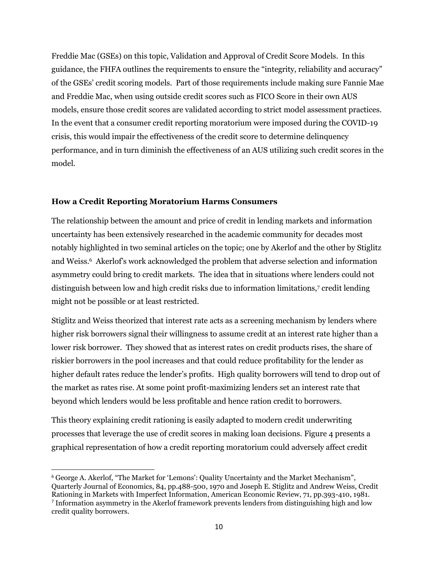Freddie Mac (GSEs) on this topic, Validation and Approval of Credit Score Models. In this guidance, the FHFA outlines the requirements to ensure the "integrity, reliability and accuracy" of the GSEs' credit scoring models. Part of those requirements include making sure Fannie Mae and Freddie Mac, when using outside credit scores such as FICO Score in their own AUS models, ensure those credit scores are validated according to strict model assessment practices. In the event that a consumer credit reporting moratorium were imposed during the COVID-19 crisis, this would impair the effectiveness of the credit score to determine delinquency performance, and in turn diminish the effectiveness of an AUS utilizing such credit scores in the model.

## **How a Credit Reporting Moratorium Harms Consumers**

The relationship between the amount and price of credit in lending markets and information uncertainty has been extensively researched in the academic community for decades most notably highlighted in two seminal articles on the topic; one by Akerlof and the other by Stiglitz and Weiss.<sup>6</sup> Akerlof's work acknowledged the problem that adverse selection and information asymmetry could bring to credit markets. The idea that in situations where lenders could not distinguish between low and high credit risks due to information limitations,<sup>7</sup> credit lending might not be possible or at least restricted.

Stiglitz and Weiss theorized that interest rate acts as a screening mechanism by lenders where higher risk borrowers signal their willingness to assume credit at an interest rate higher than a lower risk borrower. They showed that as interest rates on credit products rises, the share of riskier borrowers in the pool increases and that could reduce profitability for the lender as higher default rates reduce the lender's profits. High quality borrowers will tend to drop out of the market as rates rise. At some point profit-maximizing lenders set an interest rate that beyond which lenders would be less profitable and hence ration credit to borrowers.

This theory explaining credit rationing is easily adapted to modern credit underwriting processes that leverage the use of credit scores in making loan decisions. Figure 4 presents a graphical representation of how a credit reporting moratorium could adversely affect credit

 $\overline{\phantom{a}}$ 

<sup>6</sup> George A. Akerlof, "The Market for 'Lemons': Quality Uncertainty and the Market Mechanism", Quarterly Journal of Economics, 84, pp.488-500, 1970 and Joseph E. Stiglitz and Andrew Weiss, Credit Rationing in Markets with Imperfect Information, American Economic Review, 71, pp.393-410, 1981. 7 Information asymmetry in the Akerlof framework prevents lenders from distinguishing high and low credit quality borrowers.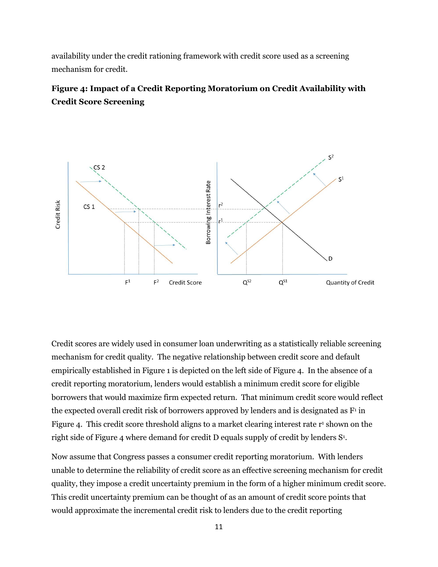availability under the credit rationing framework with credit score used as a screening mechanism for credit.

## **Figure 4: Impact of a Credit Reporting Moratorium on Credit Availability with Credit Score Screening**



Credit scores are widely used in consumer loan underwriting as a statistically reliable screening mechanism for credit quality. The negative relationship between credit score and default empirically established in Figure 1 is depicted on the left side of Figure 4. In the absence of a credit reporting moratorium, lenders would establish a minimum credit score for eligible borrowers that would maximize firm expected return. That minimum credit score would reflect the expected overall credit risk of borrowers approved by lenders and is designated as  $F<sup>i</sup>$  in Figure 4. This credit score threshold aligns to a market clearing interest rate r <sup>1</sup> shown on the right side of Figure 4 where demand for credit D equals supply of credit by lenders  $S^1$ .

Now assume that Congress passes a consumer credit reporting moratorium. With lenders unable to determine the reliability of credit score as an effective screening mechanism for credit quality, they impose a credit uncertainty premium in the form of a higher minimum credit score. This credit uncertainty premium can be thought of as an amount of credit score points that would approximate the incremental credit risk to lenders due to the credit reporting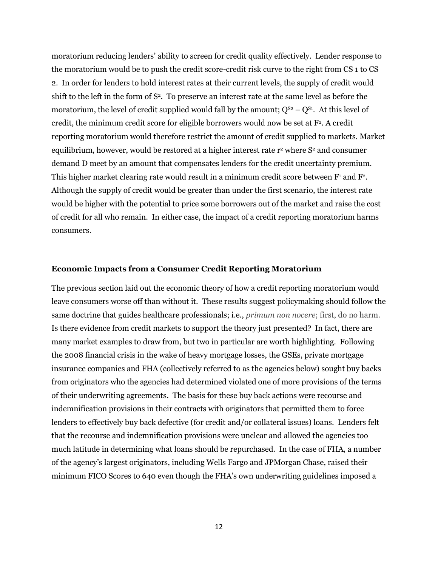moratorium reducing lenders' ability to screen for credit quality effectively. Lender response to the moratorium would be to push the credit score-credit risk curve to the right from CS 1 to CS 2. In order for lenders to hold interest rates at their current levels, the supply of credit would shift to the left in the form of S<sup>2</sup>. To preserve an interest rate at the same level as before the moratorium, the level of credit supplied would fall by the amount;  $Q^{S_2} - Q^{S_1}$ . At this level of credit, the minimum credit score for eligible borrowers would now be set at F<sup>2</sup>. A credit reporting moratorium would therefore restrict the amount of credit supplied to markets. Market equilibrium, however, would be restored at a higher interest rate r<sup>2</sup> where S<sup>2</sup> and consumer demand D meet by an amount that compensates lenders for the credit uncertainty premium. This higher market clearing rate would result in a minimum credit score between  $F<sup>1</sup>$  and  $F<sup>2</sup>$ . Although the supply of credit would be greater than under the first scenario, the interest rate would be higher with the potential to price some borrowers out of the market and raise the cost of credit for all who remain. In either case, the impact of a credit reporting moratorium harms consumers.

#### **Economic Impacts from a Consumer Credit Reporting Moratorium**

The previous section laid out the economic theory of how a credit reporting moratorium would leave consumers worse off than without it. These results suggest policymaking should follow the same doctrine that guides healthcare professionals; i.e., *primum non nocere*; first, do no harm. Is there evidence from credit markets to support the theory just presented? In fact, there are many market examples to draw from, but two in particular are worth highlighting. Following the 2008 financial crisis in the wake of heavy mortgage losses, the GSEs, private mortgage insurance companies and FHA (collectively referred to as the agencies below) sought buy backs from originators who the agencies had determined violated one of more provisions of the terms of their underwriting agreements. The basis for these buy back actions were recourse and indemnification provisions in their contracts with originators that permitted them to force lenders to effectively buy back defective (for credit and/or collateral issues) loans. Lenders felt that the recourse and indemnification provisions were unclear and allowed the agencies too much latitude in determining what loans should be repurchased. In the case of FHA, a number of the agency's largest originators, including Wells Fargo and JPMorgan Chase, raised their minimum FICO Scores to 640 even though the FHA's own underwriting guidelines imposed a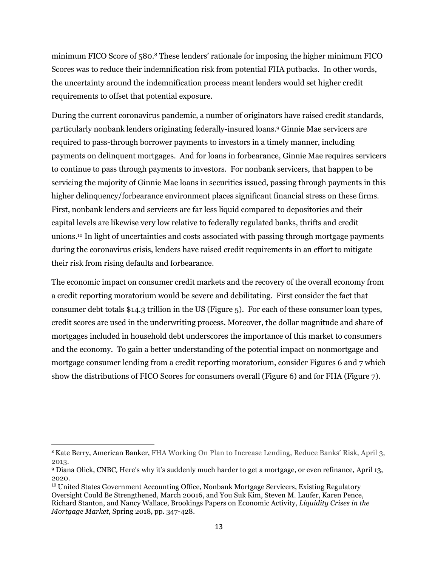minimum FICO Score of 580.<sup>8</sup> These lenders' rationale for imposing the higher minimum FICO Scores was to reduce their indemnification risk from potential FHA putbacks. In other words, the uncertainty around the indemnification process meant lenders would set higher credit requirements to offset that potential exposure.

During the current coronavirus pandemic, a number of originators have raised credit standards, particularly nonbank lenders originating federally-insured loans.<sup>9</sup> Ginnie Mae servicers are required to pass-through borrower payments to investors in a timely manner, including payments on delinquent mortgages. And for loans in forbearance, Ginnie Mae requires servicers to continue to pass through payments to investors. For nonbank servicers, that happen to be servicing the majority of Ginnie Mae loans in securities issued, passing through payments in this higher delinquency/forbearance environment places significant financial stress on these firms. First, nonbank lenders and servicers are far less liquid compared to depositories and their capital levels are likewise very low relative to federally regulated banks, thrifts and credit unions.<sup>10</sup> In light of uncertainties and costs associated with passing through mortgage payments during the coronavirus crisis, lenders have raised credit requirements in an effort to mitigate their risk from rising defaults and forbearance.

The economic impact on consumer credit markets and the recovery of the overall economy from a credit reporting moratorium would be severe and debilitating. First consider the fact that consumer debt totals \$14.3 trillion in the US (Figure 5). For each of these consumer loan types, credit scores are used in the underwriting process. Moreover, the dollar magnitude and share of mortgages included in household debt underscores the importance of this market to consumers and the economy. To gain a better understanding of the potential impact on nonmortgage and mortgage consumer lending from a credit reporting moratorium, consider Figures 6 and 7 which show the distributions of FICO Scores for consumers overall (Figure 6) and for FHA (Figure 7).

 $\overline{a}$ 

<sup>8</sup> Kate Berry, American Banker, FHA Working On Plan to Increase Lending, Reduce Banks' Risk, April 3, 2013.

<sup>9</sup> Diana Olick, CNBC, Here's why it's suddenly much harder to get a mortgage, or even refinance, April 13, 2020.

<sup>10</sup> United States Government Accounting Office, Nonbank Mortgage Servicers, Existing Regulatory Oversight Could Be Strengthened, March 20016, and You Suk Kim, Steven M. Laufer, Karen Pence, Richard Stanton, and Nancy Wallace, Brookings Papers on Economic Activity, *Liquidity Crises in the Mortgage Market*, Spring 2018, pp. 347-428.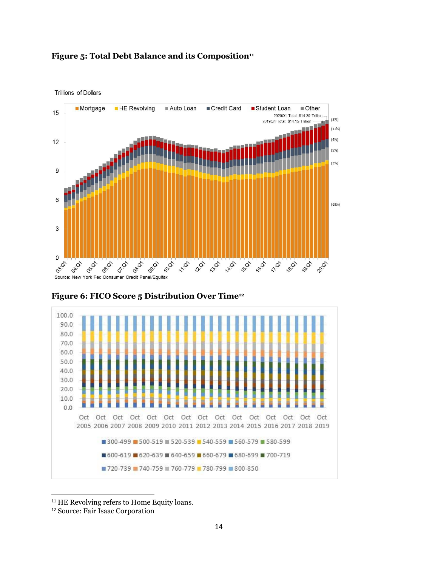



**Trillions of Dollars** 



**Figure 6: FICO Score 5 Distribution Over Time<sup>12</sup>**

l

<sup>&</sup>lt;sup>11</sup> HE Revolving refers to Home Equity loans.

<sup>12</sup> Source: Fair Isaac Corporation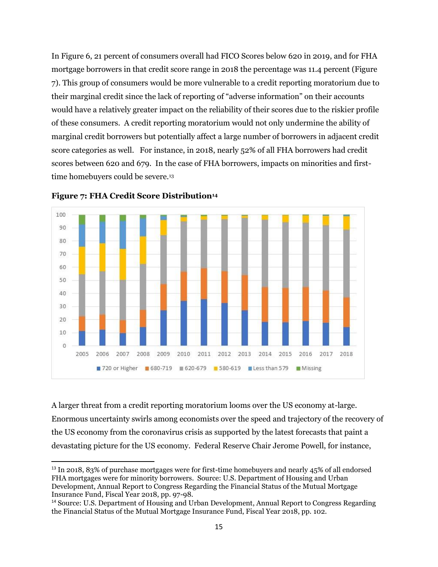In Figure 6, 21 percent of consumers overall had FICO Scores below 620 in 2019, and for FHA mortgage borrowers in that credit score range in 2018 the percentage was 11.4 percent (Figure 7). This group of consumers would be more vulnerable to a credit reporting moratorium due to their marginal credit since the lack of reporting of "adverse information" on their accounts would have a relatively greater impact on the reliability of their scores due to the riskier profile of these consumers. A credit reporting moratorium would not only undermine the ability of marginal credit borrowers but potentially affect a large number of borrowers in adjacent credit score categories as well. For instance, in 2018, nearly 52% of all FHA borrowers had credit scores between 620 and 679. In the case of FHA borrowers, impacts on minorities and firsttime homebuyers could be severe.<sup>13</sup>



**Figure 7: FHA Credit Score Distribution<sup>14</sup>**

 $\overline{a}$ 

A larger threat from a credit reporting moratorium looms over the US economy at-large. Enormous uncertainty swirls among economists over the speed and trajectory of the recovery of the US economy from the coronavirus crisis as supported by the latest forecasts that paint a devastating picture for the US economy. Federal Reserve Chair Jerome Powell, for instance,

<sup>&</sup>lt;sup>13</sup> In 2018, 83% of purchase mortgages were for first-time homebuyers and nearly 45% of all endorsed FHA mortgages were for minority borrowers. Source: U.S. Department of Housing and Urban Development, Annual Report to Congress Regarding the Financial Status of the Mutual Mortgage Insurance Fund, Fiscal Year 2018, pp. 97-98.

<sup>14</sup> Source: U.S. Department of Housing and Urban Development, Annual Report to Congress Regarding the Financial Status of the Mutual Mortgage Insurance Fund, Fiscal Year 2018, pp. 102.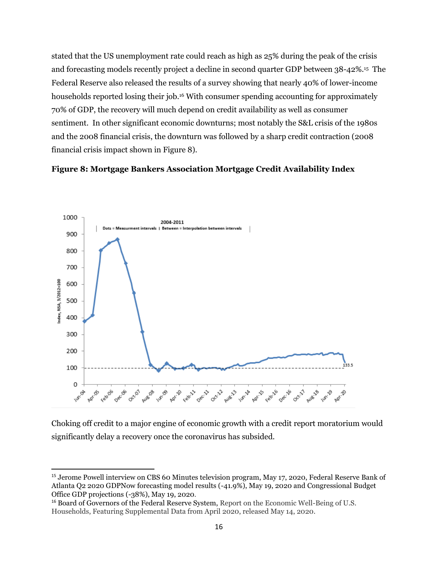stated that the US unemployment rate could reach as high as 25% during the peak of the crisis and forecasting models recently project a decline in second quarter GDP between 38-42%.<sup>15</sup> The Federal Reserve also released the results of a survey showing that nearly 40% of lower-income households reported losing their job.<sup>16</sup> With consumer spending accounting for approximately 70% of GDP, the recovery will much depend on credit availability as well as consumer sentiment. In other significant economic downturns; most notably the S&L crisis of the 1980s and the 2008 financial crisis, the downturn was followed by a sharp credit contraction (2008 financial crisis impact shown in Figure 8).

### **Figure 8: Mortgage Bankers Association Mortgage Credit Availability Index**



Choking off credit to a major engine of economic growth with a credit report moratorium would significantly delay a recovery once the coronavirus has subsided.

 $\overline{a}$ 

<sup>15</sup> Jerome Powell interview on CBS 60 Minutes television program, May 17, 2020, Federal Reserve Bank of Atlanta Q2 2020 GDPNow forecasting model results (-41.9%), May 19, 2020 and Congressional Budget Office GDP projections (-38%), May 19, 2020.

<sup>&</sup>lt;sup>16</sup> Board of Governors of the Federal Reserve System, Report on the Economic Well-Being of U.S. Households, Featuring Supplemental Data from April 2020, released May 14, 2020.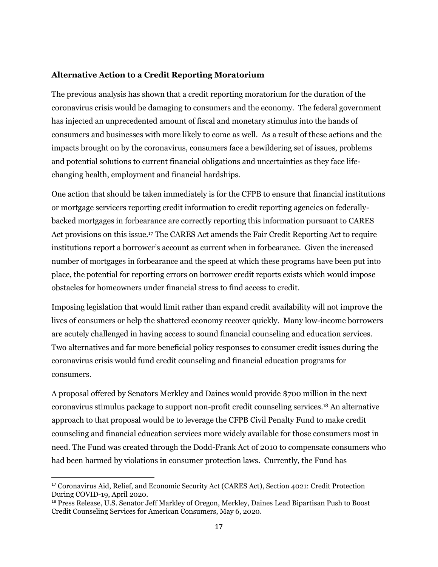## **Alternative Action to a Credit Reporting Moratorium**

The previous analysis has shown that a credit reporting moratorium for the duration of the coronavirus crisis would be damaging to consumers and the economy. The federal government has injected an unprecedented amount of fiscal and monetary stimulus into the hands of consumers and businesses with more likely to come as well. As a result of these actions and the impacts brought on by the coronavirus, consumers face a bewildering set of issues, problems and potential solutions to current financial obligations and uncertainties as they face lifechanging health, employment and financial hardships.

One action that should be taken immediately is for the CFPB to ensure that financial institutions or mortgage servicers reporting credit information to credit reporting agencies on federallybacked mortgages in forbearance are correctly reporting this information pursuant to CARES Act provisions on this issue.<sup>17</sup> The CARES Act amends the Fair Credit Reporting Act to require institutions report a borrower's account as current when in forbearance. Given the increased number of mortgages in forbearance and the speed at which these programs have been put into place, the potential for reporting errors on borrower credit reports exists which would impose obstacles for homeowners under financial stress to find access to credit.

Imposing legislation that would limit rather than expand credit availability will not improve the lives of consumers or help the shattered economy recover quickly. Many low-income borrowers are acutely challenged in having access to sound financial counseling and education services. Two alternatives and far more beneficial policy responses to consumer credit issues during the coronavirus crisis would fund credit counseling and financial education programs for consumers.

A proposal offered by Senators Merkley and Daines would provide \$700 million in the next coronavirus stimulus package to support non-profit credit counseling services.<sup>18</sup> An alternative approach to that proposal would be to leverage the CFPB Civil Penalty Fund to make credit counseling and financial education services more widely available for those consumers most in need. The Fund was created through the Dodd-Frank Act of 2010 to compensate consumers who had been harmed by violations in consumer protection laws. Currently, the Fund has

 $\overline{\phantom{a}}$ 

<sup>17</sup> Coronavirus Aid, Relief, and Economic Security Act (CARES Act), Section 4021: Credit Protection During COVID-19, April 2020.

<sup>18</sup> Press Release, U.S. Senator Jeff Markley of Oregon, Merkley, Daines Lead Bipartisan Push to Boost Credit Counseling Services for American Consumers, May 6, 2020.